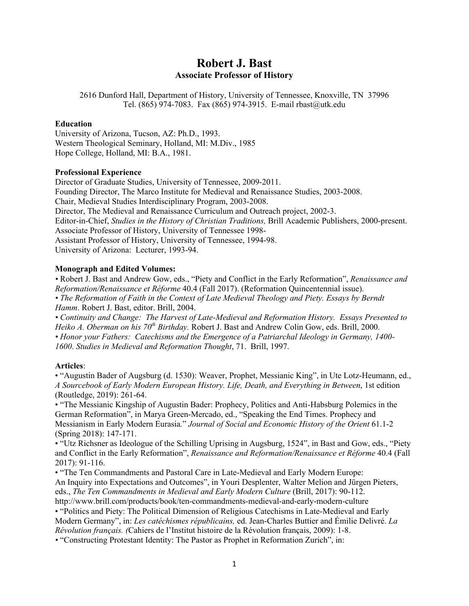# **Robert J. Bast Associate Professor of History**

2616 Dunford Hall, Department of History, University of Tennessee, Knoxville, TN 37996 Tel. (865) 974-7083. Fax (865) 974-3915. E-mail rbast@utk.edu

#### **Education**

University of Arizona, Tucson, AZ: Ph.D., 1993. Western Theological Seminary, Holland, MI: M.Div., 1985 Hope College, Holland, MI: B.A., 1981.

## **Professional Experience**

Director of Graduate Studies, University of Tennessee, 2009-2011. Founding Director, The Marco Institute for Medieval and Renaissance Studies, 2003-2008. Chair, Medieval Studies Interdisciplinary Program, 2003-2008. Director, The Medieval and Renaissance Curriculum and Outreach project, 2002-3. Editor-in-Chief, *Studies in the History of Christian Traditions,* Brill Academic Publishers, 2000-present. Associate Professor of History, University of Tennessee 1998- Assistant Professor of History, University of Tennessee, 1994-98. University of Arizona: Lecturer, 1993-94.

## **Monograph and Edited Volumes:**

*•* Robert J. Bast and Andrew Gow, eds., "Piety and Conflict in the Early Reformation", *Renaissance and Reformation/Renaissance et Réforme* 40.4 (Fall 2017). (Reformation Quincentennial issue). *• The Reformation of Faith in the Context of Late Medieval Theology and Piety. Essays by Berndt Hamm*. Robert J. Bast, editor. Brill, 2004.

*• Continuity and Change: The Harvest of Late-Medieval and Reformation History. Essays Presented to Heiko A. Oberman on his 70<sup>th</sup> Birthday.* Robert J. Bast and Andrew Colin Gow, eds. Brill, 2000. *• Honor your Fathers: Catechisms and the Emergence of a Patriarchal Ideology in Germany, 1400- 1600*. *Studies in Medieval and Reformation Thought*, 71. Brill, 1997.

#### **Articles**:

• "Augustin Bader of Augsburg (d. 1530): Weaver, Prophet, Messianic King", in Ute Lotz-Heumann, ed., *A Sourcebook of Early Modern European History. Life, Death, and Everything in Between*, 1st edition (Routledge, 2019): 261-64.

• "The Messianic Kingship of Augustin Bader: Prophecy, Politics and Anti-Habsburg Polemics in the German Reformation", in Marya Green-Mercado, ed., "Speaking the End Times. Prophecy and Messianism in Early Modern Eurasia*.*" *Journal of Social and Economic History of the Orient* 61.1-2 (Spring 2018): 147-171.

• "Utz Richsner as Ideologue of the Schilling Uprising in Augsburg, 1524", in Bast and Gow, eds., "Piety and Conflict in the Early Reformation", *Renaissance and Reformation/Renaissance et Réforme* 40.4 (Fall 2017): 91-116.

• "The Ten Commandments and Pastoral Care in Late-Medieval and Early Modern Europe: An Inquiry into Expectations and Outcomes", in Youri Desplenter, Walter Melion and Jürgen Pieters, eds., *The Ten Commandments in Medieval and Early Modern Culture* (Brill, 2017): 90-112. http://www.brill.com/products/book/ten-commandments-medieval-and-early-modern-culture

• "Politics and Piety: The Political Dimension of Religious Catechisms in Late-Medieval and Early Modern Germany", in: *Les catéchismes républicains,* ed. Jean-Charles Buttier and Émilie Delivré. *La Révolution français. (*Cahiers de l'Institut histoire de la Révolution français, 2009): 1-8.

*•* "Constructing Protestant Identity: The Pastor as Prophet in Reformation Zurich", in: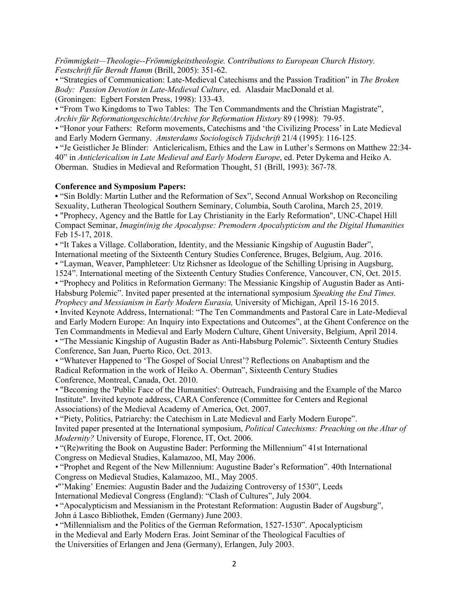*Frömmigkeit—Theologie--Frömmigkeitstheologie. Contributions to European Church History. Festschrift fűr Berndt Hamm* (Brill, 2005): 351-62.

*•* "Strategies of Communication: Late-Medieval Catechisms and the Passion Tradition" in *The Broken Body: Passion Devotion in Late-Medieval Culture*, ed. Alasdair MacDonald et al. (Groningen: Egbert Forsten Press, 1998): 133-43.

*•* "From Two Kingdoms to Two Tables: The Ten Commandments and the Christian Magistrate", *Archiv für Reformationgeschichte/Archive for Reformation History* 89 (1998): 79-95.

• "Honor your Fathers: Reform movements, Catechisms and 'the Civilizing Process' in Late Medieval and Early Modern Germany. *Amsterdams Sociologisch Tijdschrift* 21/4 (1995): 116-125.

*•* "Je Geistlicher Je Blinder: Anticlericalism, Ethics and the Law in Luther's Sermons on Matthew 22:34- 40" in *Anticlericalism in Late Medieval and Early Modern Europe*, ed. Peter Dykema and Heiko A. Oberman. Studies in Medieval and Reformation Thought, 51 (Brill, 1993): 367-78.

## **Conference and Symposium Papers:**

• "Sin Boldly: Martin Luther and the Reformation of Sex", Second Annual Workshop on Reconciling Sexuality, Lutheran Theological Southern Seminary, Columbia, South Carolina, March 25, 2019. • "Prophecy, Agency and the Battle for Lay Christianity in the Early Reformation", UNC-Chapel Hill Compact Seminar, *Imagin(in)g the Apocalypse: Premodern Apocalypticism and the Digital Humanities* Feb 15-17, 2018.

• "It Takes a Village. Collaboration, Identity, and the Messianic Kingship of Augustin Bader", International meeting of the Sixteenth Century Studies Conference, Bruges, Belgium, Aug. 2016. • "Layman, Weaver, Pamphleteer: Utz Richsner as Ideologue of the Schilling Uprising in Augsburg, 1524". International meeting of the Sixteenth Century Studies Conference, Vancouver, CN, Oct. 2015. • "Prophecy and Politics in Reformation Germany: The Messianic Kingship of Augustin Bader as Anti-Habsburg Polemic". Invited paper presented at the international symposium *Speaking the End Times. Prophecy and Messianism in Early Modern Eurasia,* University of Michigan, April 15-16 2015. • Invited Keynote Address, International: "The Ten Commandments and Pastoral Care in Late-Medieval and Early Modern Europe: An Inquiry into Expectations and Outcomes", at the Ghent Conference on the Ten Commandments in Medieval and Early Modern Culture, Ghent University, Belgium, April 2014. • "The Messianic Kingship of Augustin Bader as Anti-Habsburg Polemic". Sixteenth Century Studies Conference, San Juan, Puerto Rico, Oct. 2013.

• "Whatever Happened to 'The Gospel of Social Unrest'? Reflections on Anabaptism and the Radical Reformation in the work of Heiko A. Oberman", Sixteenth Century Studies Conference, Montreal, Canada, Oct. 2010.

*•* "Becoming the 'Public Face of the Humanities': Outreach, Fundraising and the Example of the Marco Institute". Invited keynote address, CARA Conference (Committee for Centers and Regional Associations) of the Medieval Academy of America, Oct. 2007.

*•* "Piety, Politics, Patriarchy: the Catechism in Late Medieval and Early Modern Europe". Invited paper presented at the International symposium, *Political Catechisms: Preaching on the Altar of Modernity?* University of Europe, Florence, IT, Oct. 2006.

• "(Re)writing the Book on Augustine Bader: Performing the Millennium" 41st International Congress on Medieval Studies, Kalamazoo, MI, May 2006.

*•* "Prophet and Regent of the New Millennium: Augustine Bader's Reformation". 40th International Congress on Medieval Studies, Kalamazoo, MI., May 2005.

*•*"'Making' Enemies: Augustin Bader and the Judaizing Controversy of 1530", Leeds International Medieval Congress (England): "Clash of Cultures", July 2004.

• "Apocalypticism and Messianism in the Protestant Reformation: Augustin Bader of Augsburg", John á Lasco Bibliothek, Emden (Germany) June 2003.

• "Millennialism and the Politics of the German Reformation, 1527-1530". Apocalypticism in the Medieval and Early Modern Eras. Joint Seminar of the Theological Faculties of the Universities of Erlangen and Jena (Germany), Erlangen, July 2003.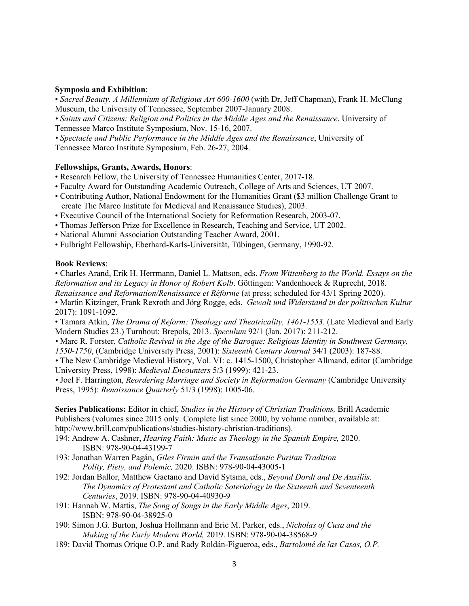#### **Symposia and Exhibition**:

• *Sacred Beauty. A Millennium of Religious Art 600-1600* (with Dr, Jeff Chapman), Frank H. McClung Museum, the University of Tennessee, September 2007-January 2008.

*• Saints and Citizens: Religion and Politics in the Middle Ages and the Renaissance*. University of Tennessee Marco Institute Symposium, Nov. 15-16, 2007.

*• Spectacle and Public Performance in the Middle Ages and the Renaissance*, University of

Tennessee Marco Institute Symposium, Feb. 26-27, 2004.

## **Fellowships, Grants, Awards, Honors**:

- Research Fellow, the University of Tennessee Humanities Center, 2017-18.
- Faculty Award for Outstanding Academic Outreach, College of Arts and Sciences, UT 2007.
- Contributing Author, National Endowment for the Humanities Grant (\$3 million Challenge Grant to create The Marco Institute for Medieval and Renaissance Studies), 2003.
- Executive Council of the International Society for Reformation Research, 2003-07.
- Thomas Jefferson Prize for Excellence in Research, Teaching and Service, UT 2002.
- National Alumni Association Outstanding Teacher Award, 2001.
- Fulbright Fellowship, Eberhard-Karls-Universität, Tübingen, Germany, 1990-92.

## **Book Reviews**:

• Charles Arand, Erik H. Herrmann, Daniel L. Mattson, eds. *From Wittenberg to the World. Essays on the Reformation and its Legacy in Honor of Robert Kolb*. Göttingen: Vandenhoeck & Ruprecht, 2018.

*Renaissance and Reformation/Renaissance et Réforme* (at press; scheduled for 43/1 Spring 2020).

• Martin Kitzinger, Frank Rexroth and Jörg Rogge, eds. *Gewalt und Widerstand in der politischen Kultur*  2017): 1091-1092.

• Tamara Atkin, *The Drama of Reform: Theology and Theatricality, 1461-1553*. (Late Medieval and Early Modern Studies 23.) Turnhout: Brepols, 2013. *Speculum* 92/1 (Jan. 2017): 211-212.

*•* Marc R. Forster, *Catholic Revival in the Age of the Baroque: Religious Identity in Southwest Germany,* 

*1550-1750*, (Cambridge University Press, 2001): *Sixteenth Century Journal* 34/1 (2003): 187-88.

*•* The New Cambridge Medieval History, Vol. VI: c. 1415-1500, Christopher Allmand, editor (Cambridge University Press, 1998): *Medieval Encounters* 5/3 (1999): 421-23.

• Joel F. Harrington, *Reordering Marriage and Society in Reformation Germany* (Cambridge University Press, 1995): *Renaissance Quarterly* 51/3 (1998): 1005-06.

**Series Publications:** Editor in chief, *Studies in the History of Christian Traditions,* Brill Academic Publishers (volumes since 2015 only. Complete list since 2000, by volume number, available at: http://www.brill.com/publications/studies-history-christian-traditions).

194: Andrew A. Cashner, *Hearing Faith: Music as Theology in the Spanish Empire,* 2020. ISBN: 978-90-04-43199-7

- 193: Jonathan Warren Pagán, *Giles Firmin and the Transatlantic Puritan Tradition Polity, Piety, and Polemic,* 2020. ISBN: 978-90-04-43005-1
- 192: Jordan Ballor, Matthew Gaetano and David Sytsma, eds., *Beyond Dordt and De Auxiliis. The Dynamics of Protestant and Catholic Soteriology in the Sixteenth and Seventeenth Centuries*, 2019. ISBN: 978-90-04-40930-9
- 191: Hannah W. Mattis, *The Song of Songs in the Early Middle Ages*, 2019. ISBN: 978-90-04-38925-0
- 190: Simon J.G. Burton, Joshua Hollmann and Eric M. Parker, eds., *Nicholas of Cusa and the Making of the Early Modern World,* 2019. ISBN: 978-90-04-38568-9
- 189: David Thomas Orique O.P. and Rady Roldán-Figueroa, eds., *Bartolomé de las Casas, O.P.*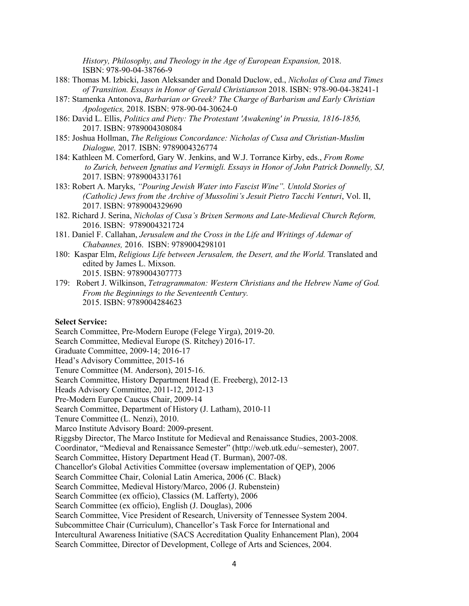*History, Philosophy, and Theology in the Age of European Expansion,* 2018. ISBN: 978-90-04-38766-9

- 188: Thomas M. Izbicki, Jason Aleksander and Donald Duclow, ed., *Nicholas of Cusa and Times of Transition. Essays in Honor of Gerald Christianson* 2018. ISBN: 978-90-04-38241-1
- 187: Stamenka Antonova, *Barbarian or Greek? The Charge of Barbarism and Early Christian Apologetics,* 2018. ISBN: 978-90-04-30624-0
- 186: David L. Ellis, *Politics and Piety: The Protestant 'Awakening' in Prussia, 1816-1856,* 2017. ISBN: 9789004308084
- 185: Joshua Hollman, *The Religious Concordance: Nicholas of Cusa and Christian-Muslim Dialogue,* 2017*.* ISBN: 9789004326774
- 184: Kathleen M. Comerford, Gary W. Jenkins, and W.J. Torrance Kirby, eds., *From Rome to Zurich, between Ignatius and Vermigli. Essays in Honor of John Patrick Donnelly, SJ,* 2017. ISBN: 9789004331761
- 183: Robert A. Maryks, *"Pouring Jewish Water into Fascist Wine". Untold Stories of (Catholic) Jews from the Archive of Mussolini's Jesuit Pietro Tacchi Venturi*, Vol. II, 2017. ISBN: 9789004329690
- 182. Richard J. Serina, *Nicholas of Cusa's Brixen Sermons and Late-Medieval Church Reform,* 2016. ISBN: 9789004321724
- 181. Daniel F. Callahan, *Jerusalem and the Cross in the Life and Writings of Ademar of Chabannes,* 2016. ISBN: 9789004298101
- 180: Kaspar Elm, *Religious Life between Jerusalem, the Desert, and the World.* Translated and edited by James L. Mixson. 2015. ISBN: 9789004307773
- 179: Robert J. Wilkinson, *Tetragrammaton: Western Christians and the Hebrew Name of God. From the Beginnings to the Seventeenth Century.* 2015. ISBN: 9789004284623

#### **Select Service:**

Search Committee, Pre-Modern Europe (Felege Yirga), 2019-20. Search Committee, Medieval Europe (S. Ritchey) 2016-17. Graduate Committee, 2009-14; 2016-17 Head's Advisory Committee, 2015-16 Tenure Committee (M. Anderson), 2015-16. Search Committee, History Department Head (E. Freeberg), 2012-13 Heads Advisory Committee, 2011-12, 2012-13 Pre-Modern Europe Caucus Chair, 2009-14 Search Committee, Department of History (J. Latham), 2010-11 Tenure Committee (L. Nenzi), 2010. Marco Institute Advisory Board: 2009-present. Riggsby Director, The Marco Institute for Medieval and Renaissance Studies, 2003-2008. Coordinator, "Medieval and Renaissance Semester" (http://web.utk.edu/~semester), 2007. Search Committee, History Department Head (T. Burman), 2007-08. Chancellor's Global Activities Committee (oversaw implementation of QEP), 2006 Search Committee Chair, Colonial Latin America, 2006 (C. Black) Search Committee, Medieval History/Marco, 2006 (J. Rubenstein) Search Committee (ex officio), Classics (M. Lafferty), 2006 Search Committee (ex officio), English (J. Douglas), 2006 Search Committee, Vice President of Research, University of Tennessee System 2004. Subcommittee Chair (Curriculum), Chancellor's Task Force for International and Intercultural Awareness Initiative (SACS Accreditation Quality Enhancement Plan), 2004 Search Committee, Director of Development, College of Arts and Sciences, 2004.